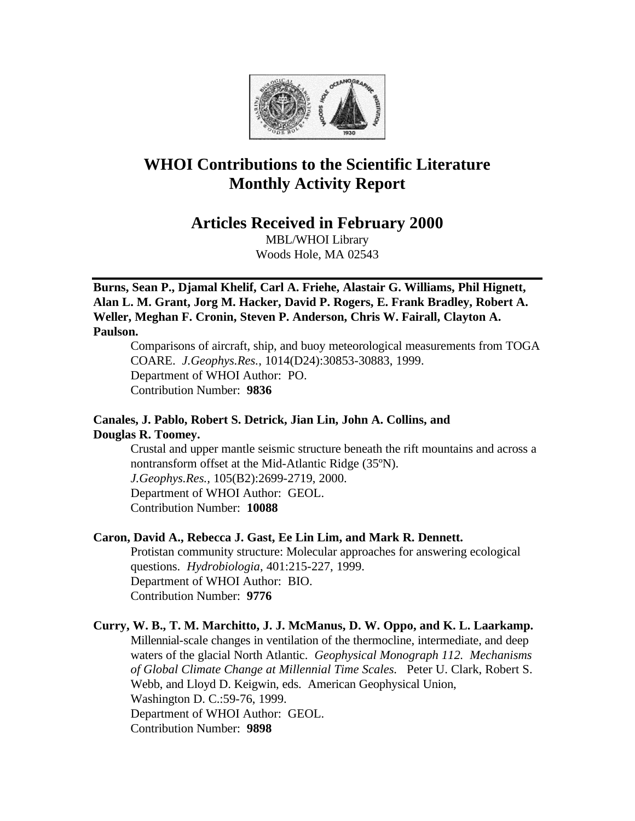

# **WHOI Contributions to the Scientific Literature Monthly Activity Report**

**Articles Received in February 2000**

MBL/WHOI Library Woods Hole, MA 02543

**Burns, Sean P., Djamal Khelif, Carl A. Friehe, Alastair G. Williams, Phil Hignett, Alan L. M. Grant, Jorg M. Hacker, David P. Rogers, E. Frank Bradley, Robert A. Weller, Meghan F. Cronin, Steven P. Anderson, Chris W. Fairall, Clayton A. Paulson.**

Comparisons of aircraft, ship, and buoy meteorological measurements from TOGA COARE. *J.Geophys.Res.*, 1014(D24):30853-30883, 1999. Department of WHOI Author: PO. Contribution Number: **9836**

# **Canales, J. Pablo, Robert S. Detrick, Jian Lin, John A. Collins, and Douglas R. Toomey.**

Crustal and upper mantle seismic structure beneath the rift mountains and across a nontransform offset at the Mid-Atlantic Ridge (35ºN). *J.Geophys.Res.,* 105(B2):2699-2719, 2000. Department of WHOI Author: GEOL. Contribution Number: **10088**

# **Caron, David A., Rebecca J. Gast, Ee Lin Lim, and Mark R. Dennett.**

Protistan community structure: Molecular approaches for answering ecological questions. *Hydrobiologia*, 401:215-227, 1999. Department of WHOI Author: BIO. Contribution Number: **9776**

# **Curry, W. B., T. M. Marchitto, J. J. McManus, D. W. Oppo, and K. L. Laarkamp.**  Millennial-scale changes in ventilation of the thermocline, intermediate, and deep waters of the glacial North Atlantic. *Geophysical Monograph 112. Mechanisms of Global Climate Change at Millennial Time Scales.* Peter U. Clark, Robert S. Webb, and Lloyd D. Keigwin, eds. American Geophysical Union, Washington D. C.:59-76, 1999. Department of WHOI Author: GEOL. Contribution Number: **9898**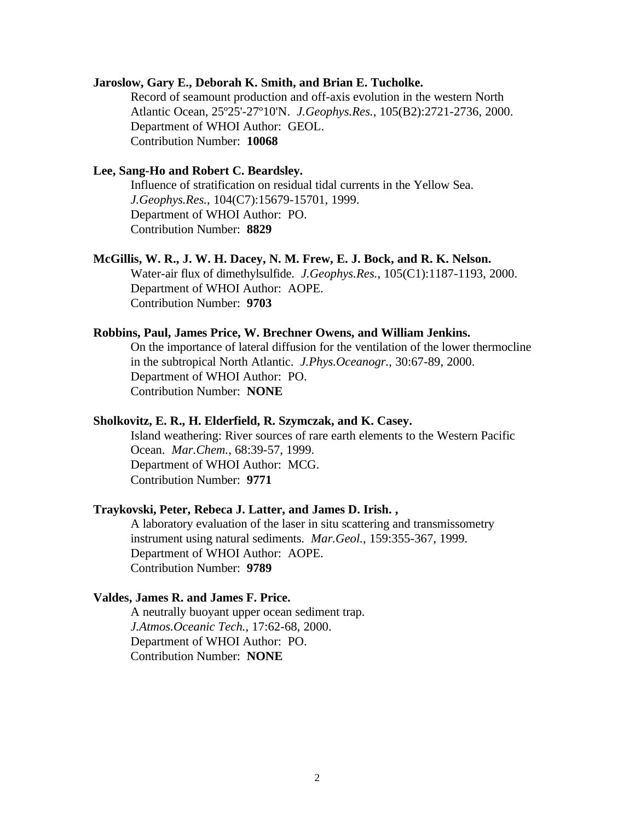#### **Jaroslow, Gary E., Deborah K. Smith, and Brian E. Tucholke.**

Record of seamount production and off-axis evolution in the western North Atlantic Ocean, 25º25'-27º10'N. *J.Geophys.Res.*, 105(B2):2721-2736, 2000. Department of WHOI Author: GEOL. Contribution Number: **10068**

## **Lee, Sang-Ho and Robert C. Beardsley.**

Influence of stratification on residual tidal currents in the Yellow Sea. *J.Geophys.Res.*, 104(C7):15679-15701, 1999. Department of WHOI Author: PO. Contribution Number: **8829**

#### **McGillis, W. R., J. W. H. Dacey, N. M. Frew, E. J. Bock, and R. K. Nelson.**

Water-air flux of dimethylsulfide. *J.Geophys.Res.*, 105(C1):1187-1193, 2000. Department of WHOI Author: AOPE. Contribution Number: **9703**

#### **Robbins, Paul, James Price, W. Brechner Owens, and William Jenkins.**

On the importance of lateral diffusion for the ventilation of the lower thermocline in the subtropical North Atlantic. *J.Phys.Oceanogr.*, 30:67-89, 2000. Department of WHOI Author: PO. Contribution Number: **NONE**

#### **Sholkovitz, E. R., H. Elderfield, R. Szymczak, and K. Casey.**

Island weathering: River sources of rare earth elements to the Western Pacific Ocean. *Mar.Chem.*, 68:39-57, 1999. Department of WHOI Author: MCG. Contribution Number: **9771**

## **Traykovski, Peter, Rebeca J. Latter, and James D. Irish. ,**

A laboratory evaluation of the laser in situ scattering and transmissometry instrument using natural sediments. *Mar.Geol.*, 159:355-367, 1999. Department of WHOI Author: AOPE. Contribution Number: **9789**

## **Valdes, James R. and James F. Price.**

A neutrally buoyant upper ocean sediment trap. *J.Atmos.Oceanic Tech.*, 17:62-68, 2000. Department of WHOI Author: PO. Contribution Number: **NONE**